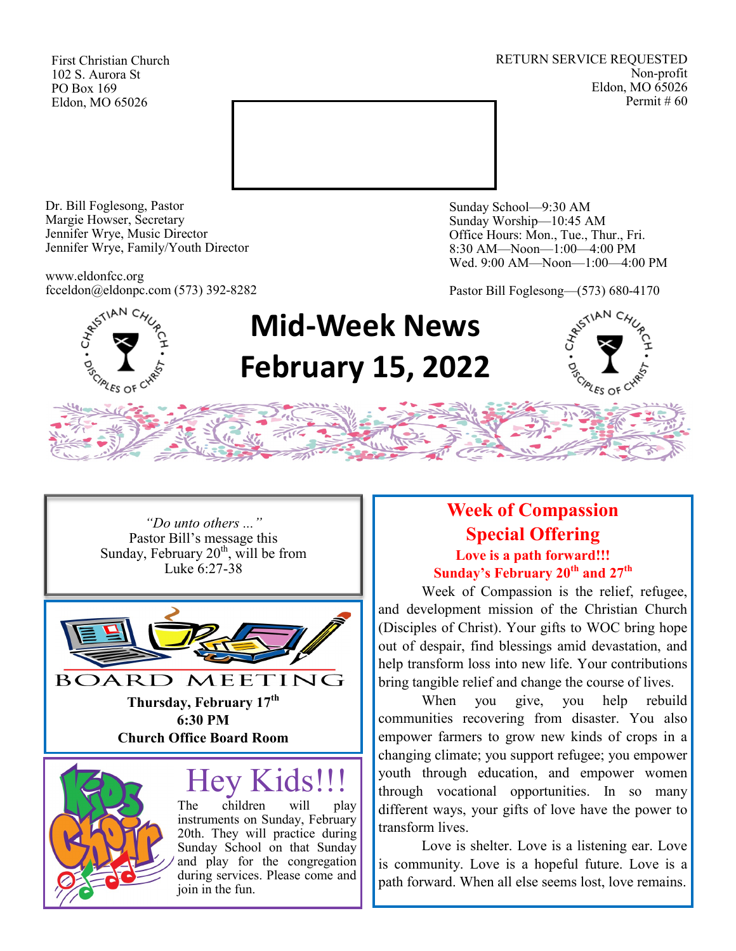First Christian Church 102 S. Aurora St PO Box 169 Eldon, MO 65026

RETURN SERVICE REQUESTED Non-profit Eldon, MO 65026 Permit # 60



Dr. Bill Foglesong, Pastor Margie Howser, Secretary Jennifer Wrye, Music Director Jennifer Wrye, Family/Youth Director

www.eldonfcc.org fcceldon@eldonpc.com (573) 392-8282 Sunday School—9:30 AM Sunday Worship—10:45 AM Office Hours: Mon., Tue., Thur., Fri. 8:30 AM—Noon—1:00—4:00 PM Wed. 9:00 AM—Noon—1:00—4:00 PM

Pastor Bill Foglesong—(573) 680-4170



# **Mid-Week News February 15, 2022**



*"Do unto others ..."* Pastor Bill's message this Sunday, February  $20<sup>th</sup>$ , will be from Luke 6:27-38



**Thursday, February 17th 6:30 PM Church Office Board Room**

# Hey Kids!!!

The children will play instruments on Sunday, February 20th. They will practice during Sunday School on that Sunday and play for the congregation during services. Please come and join in the fun.

## **Week of Compassion Special Offering Love is a path forward!!! Sunday's February 20th and 27th**

 Week of Compassion is the relief, refugee, and development mission of the Christian Church (Disciples of Christ). Your gifts to WOC bring hope out of despair, find blessings amid devastation, and help transform loss into new life. Your contributions bring tangible relief and change the course of lives.

When you give, you help rebuild communities recovering from disaster. You also empower farmers to grow new kinds of crops in a changing climate; you support refugee; you empower youth through education, and empower women through vocational opportunities. In so many different ways, your gifts of love have the power to transform lives.

Love is shelter. Love is a listening ear. Love is community. Love is a hopeful future. Love is a path forward. When all else seems lost, love remains.